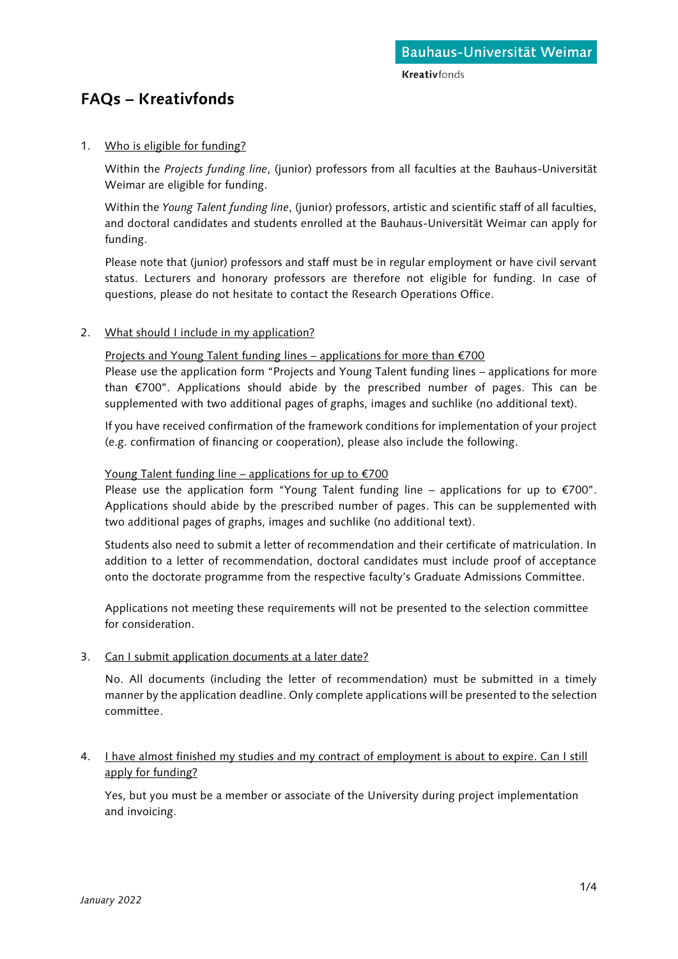# **FAQs – Kreativfonds**

# 1. Who is eligible for funding?

Within the *Projects funding line*, (junior) professors from all faculties at the Bauhaus-Universität Weimar are eligible for funding.

Within the *Young Talent funding line*, (junior) professors, artistic and scientific staff of all faculties, and doctoral candidates and students enrolled at the Bauhaus-Universität Weimar can apply for funding.

Please note that (junior) professors and staff must be in regular employment or have civil servant status. Lecturers and honorary professors are therefore not eligible for funding. In case of questions, please do not hesitate to contact the Research Operations Office.

# 2. What should I include in my application?

Projects and Young Talent funding lines – applications for more than €700

Please use the application form "Projects and Young Talent funding lines – applications for more than €700". Applications should abide by the prescribed number of pages. This can be supplemented with two additional pages of graphs, images and suchlike (no additional text).

If you have received confirmation of the framework conditions for implementation of your project (e.g. confirmation of financing or cooperation), please also include the following.

# Young Talent funding line – applications for up to  $E$  700

Please use the application form "Young Talent funding line – applications for up to  $\epsilon$ 700". Applications should abide by the prescribed number of pages. This can be supplemented with two additional pages of graphs, images and suchlike (no additional text).

Students also need to submit a letter of recommendation and their certificate of matriculation. In addition to a letter of recommendation, doctoral candidates must include proof of acceptance onto the doctorate programme from the respective faculty's Graduate Admissions Committee.

Applications not meeting these requirements will not be presented to the selection committee for consideration.

#### 3. Can I submit application documents at a later date?

No. All documents (including the letter of recommendation) must be submitted in a timely manner by the application deadline. Only complete applications will be presented to the selection committee.

# 4. I have almost finished my studies and my contract of employment is about to expire. Can I still apply for funding?

Yes, but you must be a member or associate of the University during project implementation and invoicing.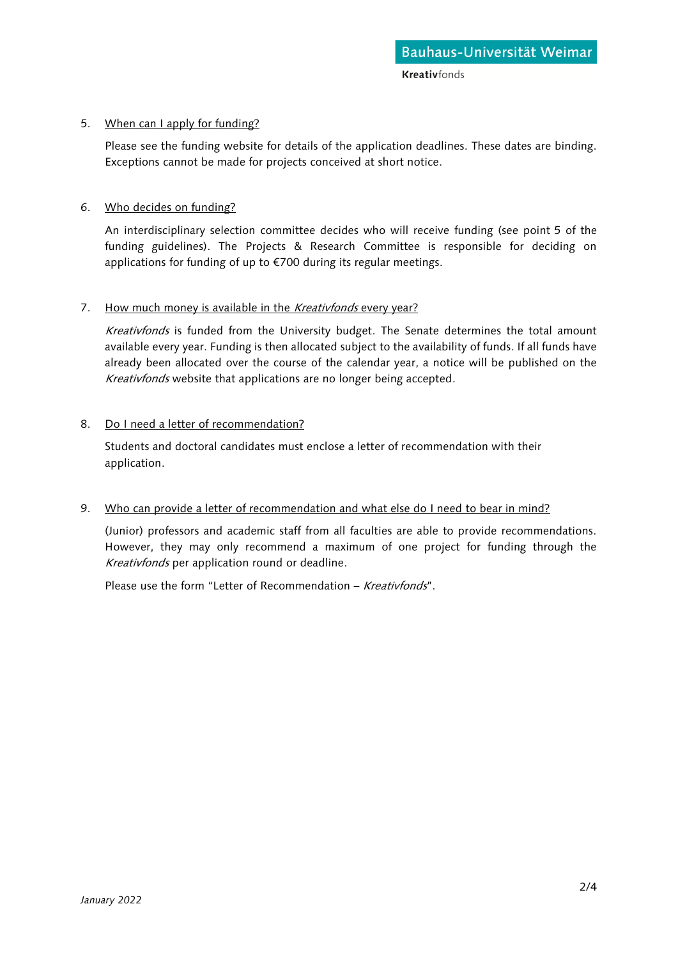# 5. When can I apply for funding?

Please see the funding website for details of the application deadlines. These dates are binding. Exceptions cannot be made for projects conceived at short notice.

# 6. Who decides on funding?

An interdisciplinary selection committee decides who will receive funding (see point 5 of the funding guidelines). The Projects & Research Committee is responsible for deciding on applications for funding of up to €700 during its regular meetings.

# 7. How much money is available in the Kreativfonds every year?

Kreativfonds is funded from the University budget. The Senate determines the total amount available every year. Funding is then allocated subject to the availability of funds. If all funds have already been allocated over the course of the calendar year, a notice will be published on the Kreativfonds website that applications are no longer being accepted.

# 8. Do I need a letter of recommendation?

Students and doctoral candidates must enclose a letter of recommendation with their application.

#### 9. Who can provide a letter of recommendation and what else do I need to bear in mind?

(Junior) professors and academic staff from all faculties are able to provide recommendations. However, they may only recommend a maximum of one project for funding through the Kreativfonds per application round or deadline.

Please use the form "Letter of Recommendation - Kreativfonds".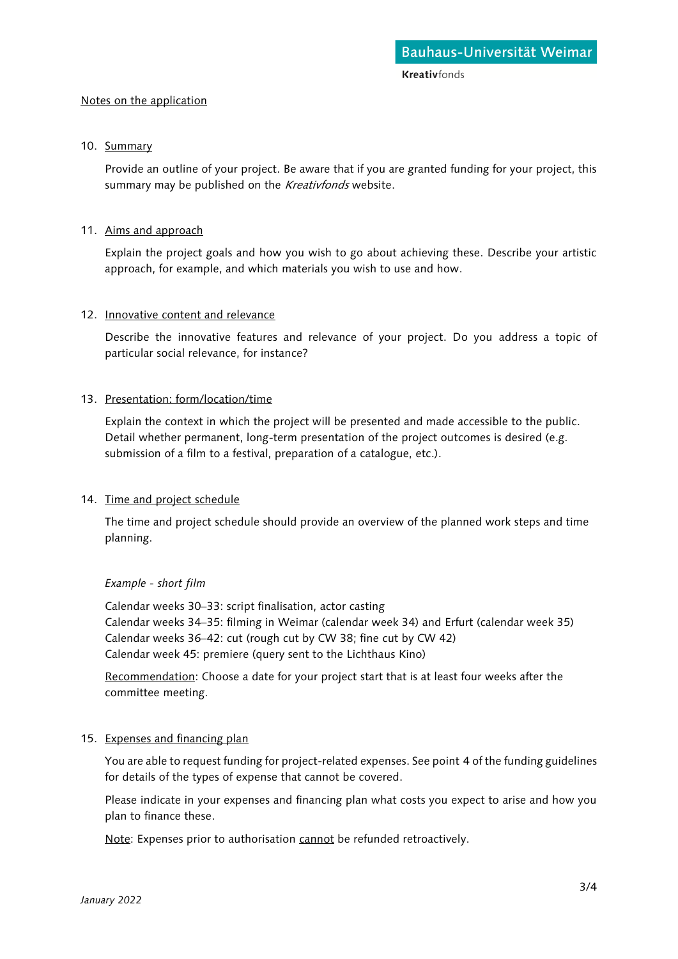**Kreativfonds** 

#### Notes on the application

#### 10. Summary

Provide an outline of your project. Be aware that if you are granted funding for your project, this summary may be published on the Kreativfonds website.

#### 11. Aims and approach

Explain the project goals and how you wish to go about achieving these. Describe your artistic approach, for example, and which materials you wish to use and how.

#### 12. Innovative content and relevance

Describe the innovative features and relevance of your project. Do you address a topic of particular social relevance, for instance?

#### 13. Presentation: form/location/time

Explain the context in which the project will be presented and made accessible to the public. Detail whether permanent, long-term presentation of the project outcomes is desired (e.g. submission of a film to a festival, preparation of a catalogue, etc.).

#### 14. Time and project schedule

The time and project schedule should provide an overview of the planned work steps and time planning.

#### *Example - short film*

Calendar weeks 30–33: script finalisation, actor casting Calendar weeks 34–35: filming in Weimar (calendar week 34) and Erfurt (calendar week 35) Calendar weeks 36–42: cut (rough cut by CW 38; fine cut by CW 42) Calendar week 45: premiere (query sent to the Lichthaus Kino)

Recommendation: Choose a date for your project start that is at least four weeks after the committee meeting.

#### 15. Expenses and financing plan

You are able to request funding for project-related expenses. See point 4 of the funding guidelines for details of the types of expense that cannot be covered.

Please indicate in your expenses and financing plan what costs you expect to arise and how you plan to finance these.

Note: Expenses prior to authorisation cannot be refunded retroactively.